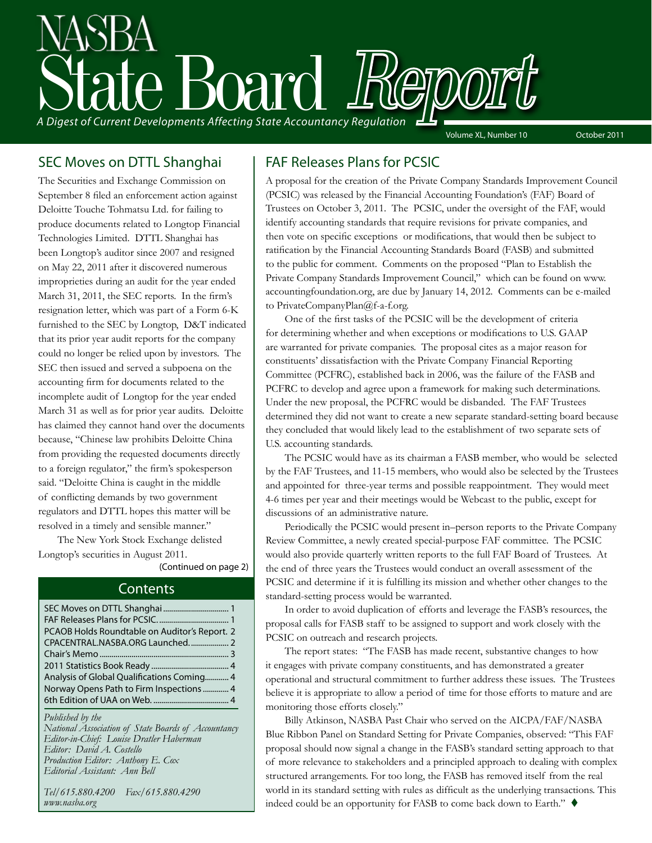

## SEC Moves on DTTL Shanghai

The Securities and Exchange Commission on September 8 filed an enforcement action against Deloitte Touche Tohmatsu Ltd. for failing to produce documents related to Longtop Financial Technologies Limited. DTTL Shanghai has been Longtop's auditor since 2007 and resigned on May 22, 2011 after it discovered numerous improprieties during an audit for the year ended March 31, 2011, the SEC reports. In the firm's resignation letter, which was part of a Form 6-K furnished to the SEC by Longtop, D&T indicated that its prior year audit reports for the company could no longer be relied upon by investors. The SEC then issued and served a subpoena on the accounting firm for documents related to the incomplete audit of Longtop for the year ended March 31 as well as for prior year audits. Deloitte has claimed they cannot hand over the documents because, "Chinese law prohibits Deloitte China from providing the requested documents directly to a foreign regulator," the firm's spokesperson said. "Deloitte China is caught in the middle of conflicting demands by two government regulators and DTTL hopes this matter will be resolved in a timely and sensible manner."

The New York Stock Exchange delisted Longtop's securities in August 2011.

(Continued on page 2)

#### **Contents**

| PCAOB Holds Roundtable on Auditor's Report. 2 |
|-----------------------------------------------|
|                                               |
|                                               |
|                                               |
| Analysis of Global Qualifications Coming 4    |
| Norway Opens Path to Firm Inspections  4      |
|                                               |

*Published by the National Association of State Boards of Accountancy Editor-in-Chief: Louise Dratler Haberman* 

*Editor: David A. Costello Production Editor: Anthony E. Cox Editorial Assistant: Ann Bell* 

*Tel/615.880.4200 Fax/615.880.4290 www.nasba.org*

## FAF Releases Plans for PCSIC

A proposal for the creation of the Private Company Standards Improvement Council (PCSIC) was released by the Financial Accounting Foundation's (FAF) Board of Trustees on October 3, 2011. The PCSIC, under the oversight of the FAF, would identify accounting standards that require revisions for private companies, and then vote on specific exceptions or modifications, that would then be subject to ratification by the Financial Accounting Standards Board (FASB) and submitted to the public for comment. Comments on the proposed "Plan to Establish the Private Company Standards Improvement Council," which can be found on www. accountingfoundation.org, are due by January 14, 2012. Comments can be e-mailed to PrivateCompanyPlan@f-a-f.org.

One of the first tasks of the PCSIC will be the development of criteria for determining whether and when exceptions or modifications to U.S. GAAP are warranted for private companies. The proposal cites as a major reason for constituents' dissatisfaction with the Private Company Financial Reporting Committee (PCFRC), established back in 2006, was the failure of the FASB and PCFRC to develop and agree upon a framework for making such determinations. Under the new proposal, the PCFRC would be disbanded. The FAF Trustees determined they did not want to create a new separate standard-setting board because they concluded that would likely lead to the establishment of two separate sets of U.S. accounting standards.

The PCSIC would have as its chairman a FASB member, who would be selected by the FAF Trustees, and 11-15 members, who would also be selected by the Trustees and appointed for three-year terms and possible reappointment. They would meet 4-6 times per year and their meetings would be Webcast to the public, except for discussions of an administrative nature.

Periodically the PCSIC would present in–person reports to the Private Company Review Committee, a newly created special-purpose FAF committee. The PCSIC would also provide quarterly written reports to the full FAF Board of Trustees. At the end of three years the Trustees would conduct an overall assessment of the PCSIC and determine if it is fulfilling its mission and whether other changes to the standard-setting process would be warranted.

In order to avoid duplication of efforts and leverage the FASB's resources, the proposal calls for FASB staff to be assigned to support and work closely with the PCSIC on outreach and research projects.

The report states: "The FASB has made recent, substantive changes to how it engages with private company constituents, and has demonstrated a greater operational and structural commitment to further address these issues. The Trustees believe it is appropriate to allow a period of time for those efforts to mature and are monitoring those efforts closely."

Billy Atkinson, NASBA Past Chair who served on the AICPA/FAF/NASBA Blue Ribbon Panel on Standard Setting for Private Companies, observed: "This FAF proposal should now signal a change in the FASB's standard setting approach to that of more relevance to stakeholders and a principled approach to dealing with complex structured arrangements. For too long, the FASB has removed itself from the real world in its standard setting with rules as difficult as the underlying transactions. This indeed could be an opportunity for FASB to come back down to Earth."  $\blacklozenge$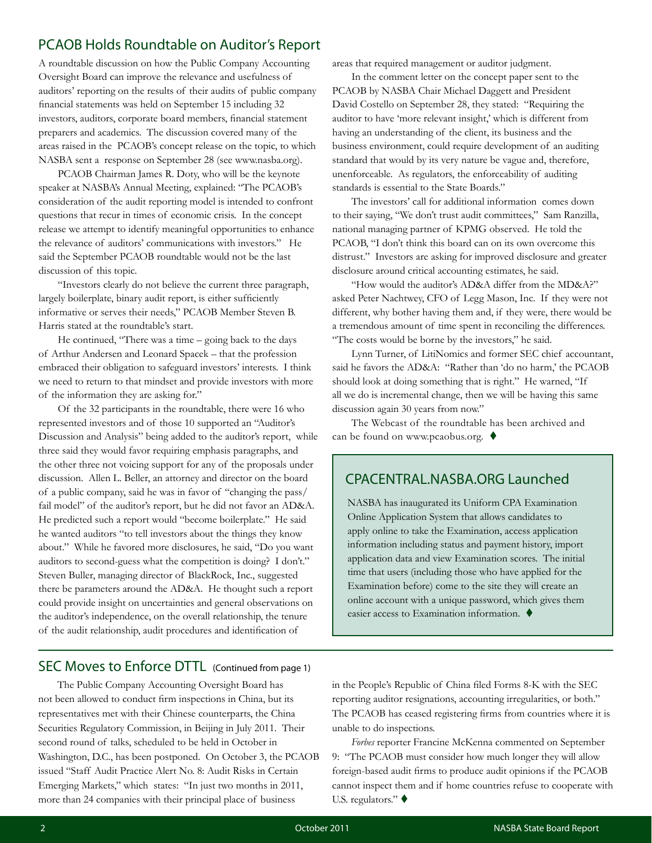## PCAOB Holds Roundtable on Auditor's Report

A roundtable discussion on how the Public Company Accounting Oversight Board can improve the relevance and usefulness of auditors' reporting on the results of their audits of public company financial statements was held on September 15 including 32 investors, auditors, corporate board members, financial statement preparers and academics. The discussion covered many of the areas raised in the PCAOB's concept release on the topic, to which NASBA sent a response on September 28 (see www.nasba.org).

PCAOB Chairman James R. Doty, who will be the keynote speaker at NASBA's Annual Meeting, explained: "The PCAOB's consideration of the audit reporting model is intended to confront questions that recur in times of economic crisis. In the concept release we attempt to identify meaningful opportunities to enhance the relevance of auditors' communications with investors." He said the September PCAOB roundtable would not be the last discussion of this topic.

"Investors clearly do not believe the current three paragraph, largely boilerplate, binary audit report, is either sufficiently informative or serves their needs," PCAOB Member Steven B. Harris stated at the roundtable's start.

He continued, "There was a time – going back to the days of Arthur Andersen and Leonard Spacek – that the profession embraced their obligation to safeguard investors' interests. I think we need to return to that mindset and provide investors with more of the information they are asking for."

Of the 32 participants in the roundtable, there were 16 who represented investors and of those 10 supported an "Auditor's Discussion and Analysis" being added to the auditor's report, while three said they would favor requiring emphasis paragraphs, and the other three not voicing support for any of the proposals under discussion. Allen L. Beller, an attorney and director on the board of a public company, said he was in favor of "changing the pass/ fail model" of the auditor's report, but he did not favor an AD&A. He predicted such a report would "become boilerplate." He said he wanted auditors "to tell investors about the things they know about." While he favored more disclosures, he said, "Do you want auditors to second-guess what the competition is doing? I don't." Steven Buller, managing director of BlackRock, Inc., suggested there be parameters around the AD&A. He thought such a report could provide insight on uncertainties and general observations on the auditor's independence, on the overall relationship, the tenure of the audit relationship, audit procedures and identification of

## SEC Moves to Enforce DTTL (Continued from page 1)

The Public Company Accounting Oversight Board has not been allowed to conduct firm inspections in China, but its representatives met with their Chinese counterparts, the China Securities Regulatory Commission, in Beijing in July 2011. Their second round of talks, scheduled to be held in October in Washington, D.C., has been postponed. On October 3, the PCAOB issued "Staff Audit Practice Alert No. 8: Audit Risks in Certain Emerging Markets," which states: "In just two months in 2011, more than 24 companies with their principal place of business

areas that required management or auditor judgment.

In the comment letter on the concept paper sent to the PCAOB by NASBA Chair Michael Daggett and President David Costello on September 28, they stated: "Requiring the auditor to have 'more relevant insight,' which is different from having an understanding of the client, its business and the business environment, could require development of an auditing standard that would by its very nature be vague and, therefore, unenforceable. As regulators, the enforceability of auditing standards is essential to the State Boards."

The investors' call for additional information comes down to their saying, "We don't trust audit committees," Sam Ranzilla, national managing partner of KPMG observed. He told the PCAOB, "I don't think this board can on its own overcome this distrust." Investors are asking for improved disclosure and greater disclosure around critical accounting estimates, he said.

"How would the auditor's AD&A differ from the MD&A?" asked Peter Nachtwey, CFO of Legg Mason, Inc. If they were not different, why bother having them and, if they were, there would be a tremendous amount of time spent in reconciling the differences. "The costs would be borne by the investors," he said.

Lynn Turner, of LitiNomics and former SEC chief accountant, said he favors the AD&A: "Rather than 'do no harm,' the PCAOB should look at doing something that is right." He warned, "If all we do is incremental change, then we will be having this same discussion again 30 years from now."

The Webcast of the roundtable has been archived and can be found on www.pcaobus.org.  $\blacklozenge$ 

## CPACENTRAL.NASBA.ORG Launched

NASBA has inaugurated its Uniform CPA Examination Online Application System that allows candidates to apply online to take the Examination, access application information including status and payment history, import application data and view Examination scores. The initial time that users (including those who have applied for the Examination before) come to the site they will create an online account with a unique password, which gives them easier access to Examination information.  $\blacklozenge$ 

in the People's Republic of China filed Forms 8-K with the SEC reporting auditor resignations, accounting irregularities, or both." The PCAOB has ceased registering firms from countries where it is unable to do inspections.

*Forbes* reporter Francine McKenna commented on September 9: "The PCAOB must consider how much longer they will allow foreign-based audit firms to produce audit opinions if the PCAOB cannot inspect them and if home countries refuse to cooperate with U.S. regulators." $\blacklozenge$ 

l,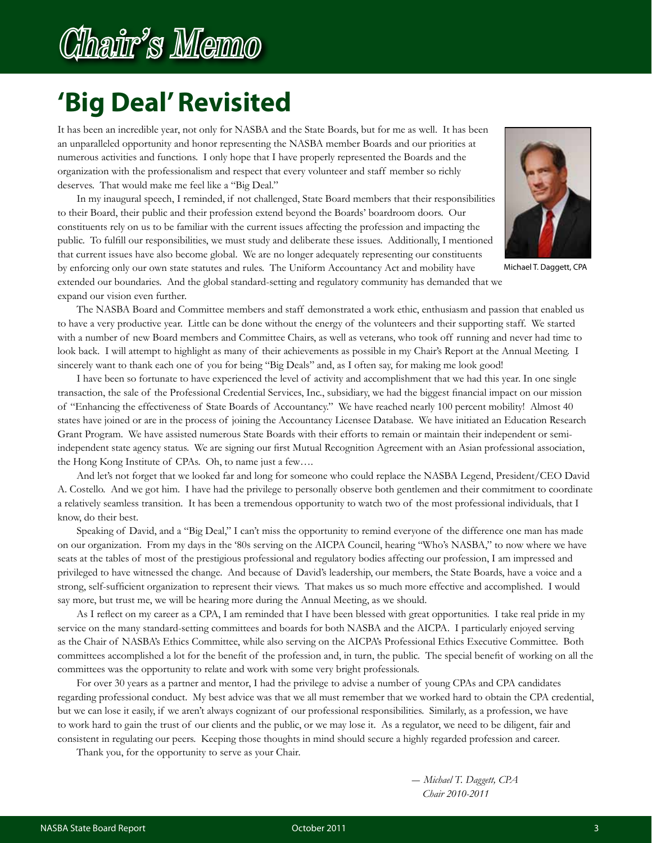# Chair's Memo

## **'Big Deal' Revisited**

It has been an incredible year, not only for NASBA and the State Boards, but for me as well. It has been an unparalleled opportunity and honor representing the NASBA member Boards and our priorities at numerous activities and functions. I only hope that I have properly represented the Boards and the organization with the professionalism and respect that every volunteer and staff member so richly deserves. That would make me feel like a "Big Deal."

In my inaugural speech, I reminded, if not challenged, State Board members that their responsibilities to their Board, their public and their profession extend beyond the Boards' boardroom doors. Our constituents rely on us to be familiar with the current issues affecting the profession and impacting the public. To fulfill our responsibilities, we must study and deliberate these issues. Additionally, I mentioned that current issues have also become global. We are no longer adequately representing our constituents by enforcing only our own state statutes and rules. The Uniform Accountancy Act and mobility have extended our boundaries. And the global standard-setting and regulatory community has demanded that we expand our vision even further.



Michael T. Daggett, CPA

The NASBA Board and Committee members and staff demonstrated a work ethic, enthusiasm and passion that enabled us to have a very productive year. Little can be done without the energy of the volunteers and their supporting staff. We started with a number of new Board members and Committee Chairs, as well as veterans, who took off running and never had time to look back. I will attempt to highlight as many of their achievements as possible in my Chair's Report at the Annual Meeting. I sincerely want to thank each one of you for being "Big Deals" and, as I often say, for making me look good!

I have been so fortunate to have experienced the level of activity and accomplishment that we had this year. In one single transaction, the sale of the Professional Credential Services, Inc., subsidiary, we had the biggest financial impact on our mission of "Enhancing the effectiveness of State Boards of Accountancy." We have reached nearly 100 percent mobility! Almost 40 states have joined or are in the process of joining the Accountancy Licensee Database. We have initiated an Education Research Grant Program. We have assisted numerous State Boards with their efforts to remain or maintain their independent or semiindependent state agency status. We are signing our first Mutual Recognition Agreement with an Asian professional association, the Hong Kong Institute of CPAs. Oh, to name just a few….

And let's not forget that we looked far and long for someone who could replace the NASBA Legend, President/CEO David A. Costello. And we got him. I have had the privilege to personally observe both gentlemen and their commitment to coordinate a relatively seamless transition. It has been a tremendous opportunity to watch two of the most professional individuals, that I know, do their best.

Speaking of David, and a "Big Deal," I can't miss the opportunity to remind everyone of the difference one man has made on our organization. From my days in the '80s serving on the AICPA Council, hearing "Who's NASBA," to now where we have seats at the tables of most of the prestigious professional and regulatory bodies affecting our profession, I am impressed and privileged to have witnessed the change. And because of David's leadership, our members, the State Boards, have a voice and a strong, self-sufficient organization to represent their views. That makes us so much more effective and accomplished. I would say more, but trust me, we will be hearing more during the Annual Meeting, as we should.

As I reflect on my career as a CPA, I am reminded that I have been blessed with great opportunities. I take real pride in my service on the many standard-setting committees and boards for both NASBA and the AICPA. I particularly enjoyed serving as the Chair of NASBA's Ethics Committee, while also serving on the AICPA's Professional Ethics Executive Committee. Both committees accomplished a lot for the benefit of the profession and, in turn, the public. The special benefit of working on all the committees was the opportunity to relate and work with some very bright professionals.

For over 30 years as a partner and mentor, I had the privilege to advise a number of young CPAs and CPA candidates regarding professional conduct. My best advice was that we all must remember that we worked hard to obtain the CPA credential, but we can lose it easily, if we aren't always cognizant of our professional responsibilities. Similarly, as a profession, we have to work hard to gain the trust of our clients and the public, or we may lose it. As a regulator, we need to be diligent, fair and consistent in regulating our peers. Keeping those thoughts in mind should secure a highly regarded profession and career.

Thank you, for the opportunity to serve as your Chair.

*― Michael T. Daggett, CPA Chair 2010-2011*